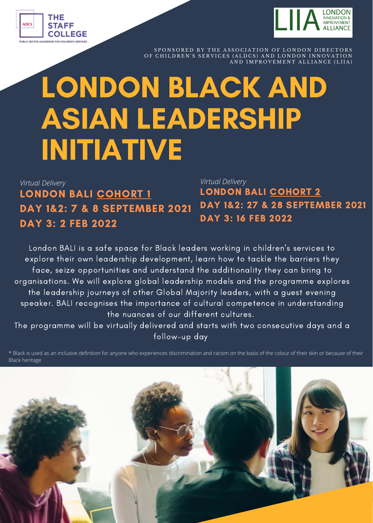



SPONSORED BY THE ASSOCIATION OF LONDON DIRECTORS OF CHILDREN'S SERVICES (ALDCS) AND LONDON INNOVATION<br>AND IMPROVEMENT ALLIANCE (LIIA)

# LONDON BLACK AND ASIAN LEADERSHIP INITIATIVE

### LONDON BALI COHORT 1 DAY 1&2: 7 & 8 SEPTEMBER 2021 DAY 3: 2 FEB 2022 *Virtual Delivery Virtual Delivery*

LONDON BALI COHORT 2 DAY 1&2: 27 & 28 SEPTEMBER 2021 DAY 3: 16 FEB 2022

London BALI is a safe space for Black leaders working in children's services to explore their own leadership development, learn how to tackle the barriers they face, seize opportunities and understand the additionality they can bring to organisations. We will explore global leadership models and the programme explores the leadership journeys of other Global Majority leaders, with a guest evening speaker. BALI recognises the importance of cultural competence in understanding the nuances of our different cultures.

The programme will be virtually delivered and starts with two consecutive days and a follow-up day

\* Black is used as an inclusive definition for anyone who experiences discrimination and racism on the basis of the colour of their skin or because of their Black heritage